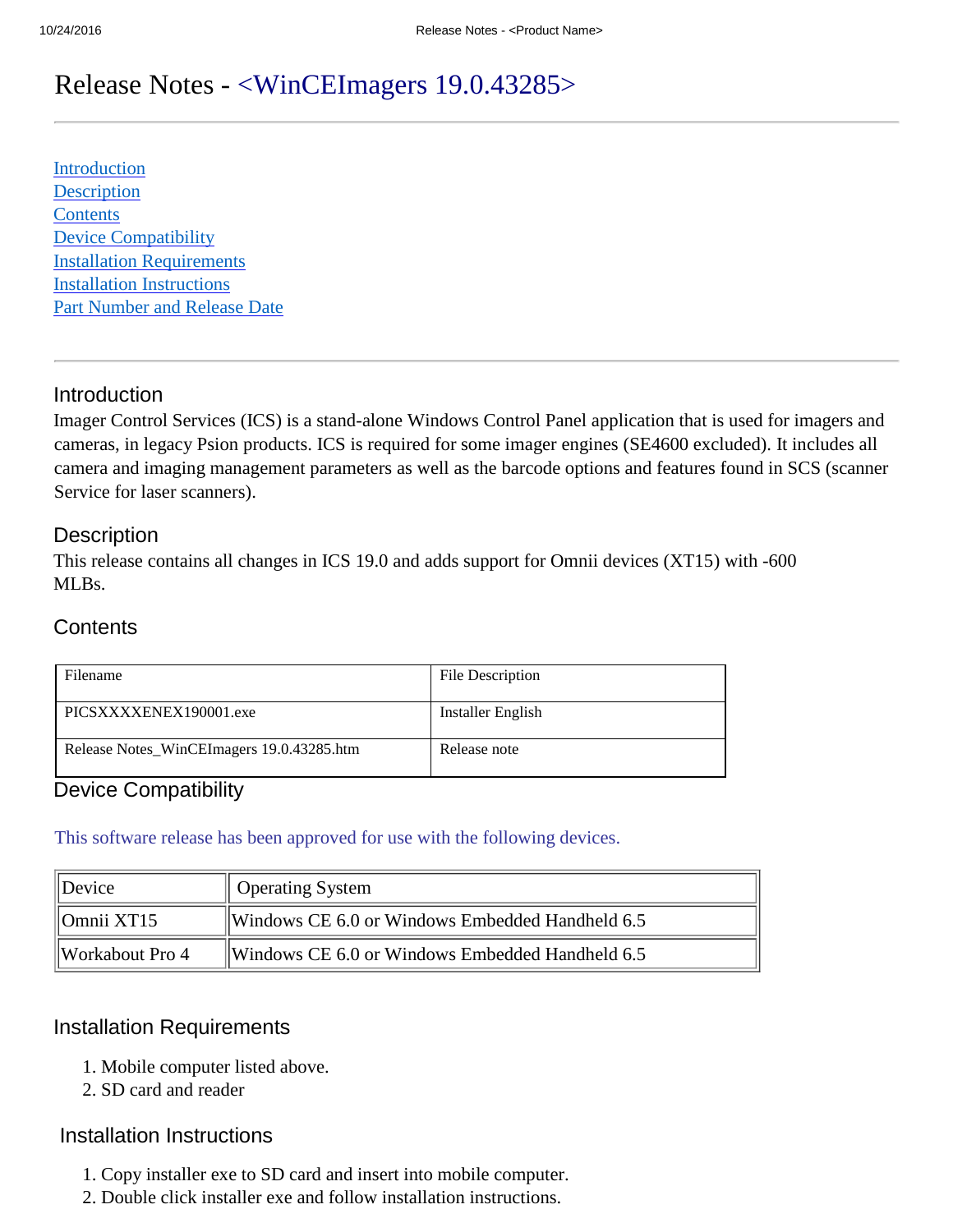# Release Notes - <WinCEImagers 19.0.43285>

[Introduction](#page-0-0) **[Description](#page-0-1) [Contents](#page-0-2)** [Device Compatibility](#page-0-3) [Installation Requirements](#page-0-4) [Installation Instructions](#page-0-5) [Part Number and Release Date](#page-1-0)

## <span id="page-0-0"></span>Introduction

Imager Control Services (ICS) is a stand-alone Windows Control Panel application that is used for imagers and cameras, in legacy Psion products. ICS is required for some imager engines (SE4600 excluded). It includes all camera and imaging management parameters as well as the barcode options and features found in SCS (scanner Service for laser scanners).

## <span id="page-0-1"></span>**Description**

This release contains all changes in ICS 19.0 and adds support for Omnii devices (XT15) with -600 ML<sub>Bs</sub>.

# <span id="page-0-2"></span>**Contents**

| Filename                                  | <b>File Description</b> |
|-------------------------------------------|-------------------------|
| PICSXXXXENEX190001.exe                    | Installer English       |
| Release Notes_WinCEImagers 19.0.43285.htm | Release note            |

# <span id="page-0-3"></span>Device Compatibility

This software release has been approved for use with the following devices.

| $\parallel$ Device          | <b>Operating System</b>                         |
|-----------------------------|-------------------------------------------------|
| $\parallel$ Omnii XT15      | Windows CE 6.0 or Windows Embedded Handheld 6.5 |
| $\parallel$ Workabout Pro 4 | Windows CE 6.0 or Windows Embedded Handheld 6.5 |

## <span id="page-0-4"></span>Installation Requirements

- 1. Mobile computer listed above.
- 2. SD card and reader

#### <span id="page-0-5"></span>Installation Instructions

- 1. Copy installer exe to SD card and insert into mobile computer.
- 2. Double click installer exe and follow installation instructions.